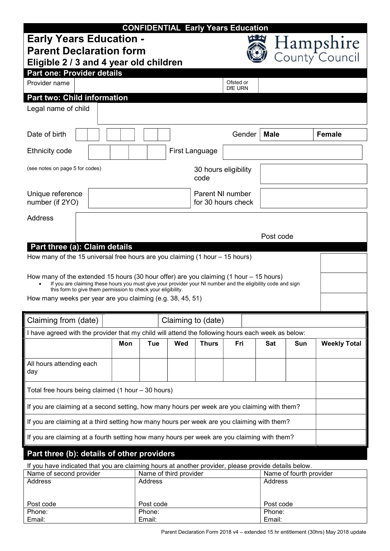|                                                                                                                                                                                                                                                                          |            |                        |                    | <b>CONFIDENTIAL Early Years Education</b> |             |                         |                             |
|--------------------------------------------------------------------------------------------------------------------------------------------------------------------------------------------------------------------------------------------------------------------------|------------|------------------------|--------------------|-------------------------------------------|-------------|-------------------------|-----------------------------|
| <b>Early Years Education -</b><br><b>Parent Declaration form</b>                                                                                                                                                                                                         |            |                        |                    | IS J IS 27                                |             |                         | Hampshire<br>County Council |
| Eligible 2 / 3 and 4 year old children                                                                                                                                                                                                                                   |            |                        |                    |                                           |             |                         |                             |
| <b>Part one: Provider details</b>                                                                                                                                                                                                                                        |            |                        |                    |                                           |             |                         |                             |
| Provider name                                                                                                                                                                                                                                                            |            |                        |                    | Ofsted or<br>DfE URN                      |             |                         |                             |
| <b>Part two: Child information</b>                                                                                                                                                                                                                                       |            |                        |                    |                                           |             |                         |                             |
| Legal name of child                                                                                                                                                                                                                                                      |            |                        |                    |                                           |             |                         |                             |
| Date of birth                                                                                                                                                                                                                                                            |            |                        |                    | Gender                                    | <b>Male</b> |                         | <b>Female</b>               |
| Ethnicity code                                                                                                                                                                                                                                                           |            |                        | First Language     |                                           |             |                         |                             |
| (see notes on page 5 for codes)                                                                                                                                                                                                                                          |            |                        | code               | 30 hours eligibility                      |             |                         |                             |
| Unique reference<br>number (if 2YO)                                                                                                                                                                                                                                      |            |                        |                    | Parent NI number<br>for 30 hours check    |             |                         |                             |
| <b>Address</b>                                                                                                                                                                                                                                                           |            |                        |                    |                                           |             |                         |                             |
|                                                                                                                                                                                                                                                                          |            |                        |                    |                                           | Post code   |                         |                             |
| Part three (a): Claim details                                                                                                                                                                                                                                            |            |                        |                    |                                           |             |                         |                             |
| How many of the 15 universal free hours are you claiming (1 hour - 15 hours)                                                                                                                                                                                             |            |                        |                    |                                           |             |                         |                             |
| How many of the extended 15 hours (30 hour offer) are you claiming (1 hour $-$ 15 hours)<br>If you are claiming these hours you must give your provider your NI number and the eligibility code and sign<br>this form to give them permission to check your eligibility. |            |                        |                    |                                           |             |                         |                             |
|                                                                                                                                                                                                                                                                          |            |                        |                    |                                           |             |                         |                             |
| How many weeks per year are you claiming (e.g. 38, 45, 51)                                                                                                                                                                                                               |            |                        |                    |                                           |             |                         |                             |
| Claiming from (date)                                                                                                                                                                                                                                                     |            |                        | Claiming to (date) |                                           |             |                         |                             |
| I have agreed with the provider that my child will attend the following hours each week as below:                                                                                                                                                                        |            |                        |                    |                                           |             |                         |                             |
|                                                                                                                                                                                                                                                                          | Mon<br>Tue | Wed                    | <b>Thurs</b>       | Fri                                       | <b>Sat</b>  | Sun                     | <b>Weekly Total</b>         |
| All hours attending each<br>day                                                                                                                                                                                                                                          |            |                        |                    |                                           |             |                         |                             |
| Total free hours being claimed (1 hour - 30 hours)                                                                                                                                                                                                                       |            |                        |                    |                                           |             |                         |                             |
| If you are claiming at a second setting, how many hours per week are you claiming with them?                                                                                                                                                                             |            |                        |                    |                                           |             |                         |                             |
| If you are claiming at a third setting how many hours per week are you claiming with them?                                                                                                                                                                               |            |                        |                    |                                           |             |                         |                             |
| If you are claiming at a fourth setting how many hours per week are you claiming with them?                                                                                                                                                                              |            |                        |                    |                                           |             |                         |                             |
| Part three (b): details of other providers                                                                                                                                                                                                                               |            |                        |                    |                                           |             |                         |                             |
| If you have indicated that you are claiming hours at another provider, please provide details below.<br>Name of second provider                                                                                                                                          |            | Name of third provider |                    |                                           |             | Name of fourth provider |                             |

| Post code | Post code | Post code |
|-----------|-----------|-----------|
| Phone:    | Phone:    | Phone:    |
| Email:    | Email:    | Email:    |

Parent Declaration Form 2018 v4 – extended 15 hr entitlement (30hrs) May 2018 update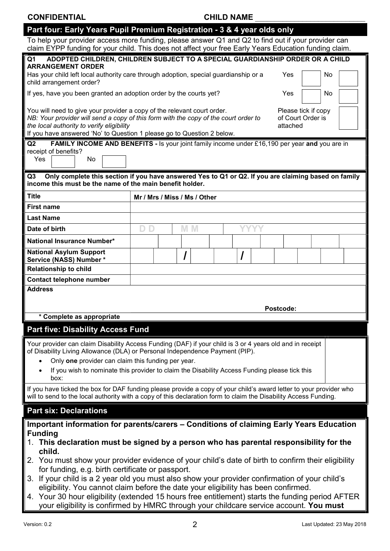### CONFIDENTIAL CONFIDENTIAL CHILD NAME

| Part four: Early Years Pupil Premium Registration - 3 & 4 year olds only ; |
|----------------------------------------------------------------------------|
|----------------------------------------------------------------------------|

| To help your provider access more funding, please answer Q1 and Q2 to find out if your provider can    |  |  |  |
|--------------------------------------------------------------------------------------------------------|--|--|--|
| claim EYPP funding for your child. This does not affect your free Early Years Education funding claim. |  |  |  |

| TO Help your provider access more runding, please answer QT and QZ to mid out in your provider can<br>claim EYPP funding for your child. This does not affect your free Early Years Education funding claim.                           |                                                                                 |           |  |  |  |          |                     |    |  |
|----------------------------------------------------------------------------------------------------------------------------------------------------------------------------------------------------------------------------------------|---------------------------------------------------------------------------------|-----------|--|--|--|----------|---------------------|----|--|
| ADOPTED CHILDREN, CHILDREN SUBJECT TO A SPECIAL GUARDIANSHIP ORDER OR A CHILD<br>Q <sub>1</sub><br><b>ARRANGEMENT ORDER</b>                                                                                                            |                                                                                 |           |  |  |  |          |                     |    |  |
| Has your child left local authority care through adoption, special guardianship or a                                                                                                                                                   |                                                                                 |           |  |  |  | Yes      |                     | No |  |
| child arrangement order?                                                                                                                                                                                                               |                                                                                 |           |  |  |  |          |                     |    |  |
|                                                                                                                                                                                                                                        | If yes, have you been granted an adoption order by the courts yet?<br>Yes<br>No |           |  |  |  |          |                     |    |  |
| You will need to give your provider a copy of the relevant court order.                                                                                                                                                                |                                                                                 |           |  |  |  |          | Please tick if copy |    |  |
| NB: Your provider will send a copy of this form with the copy of the court order to<br>the local authority to verify eligibility                                                                                                       |                                                                                 |           |  |  |  | attached | of Court Order is   |    |  |
| If you have answered 'No' to Question 1 please go to Question 2 below.                                                                                                                                                                 |                                                                                 |           |  |  |  |          |                     |    |  |
| FAMILY INCOME AND BENEFITS - Is your joint family income under £16,190 per year and you are in<br>Q2                                                                                                                                   |                                                                                 |           |  |  |  |          |                     |    |  |
| receipt of benefits?<br>Yes<br>No                                                                                                                                                                                                      |                                                                                 |           |  |  |  |          |                     |    |  |
|                                                                                                                                                                                                                                        |                                                                                 |           |  |  |  |          |                     |    |  |
| Only complete this section if you have answered Yes to Q1 or Q2. If you are claiming based on family<br>Q <sub>3</sub><br>income this must be the name of the main benefit holder.                                                     |                                                                                 |           |  |  |  |          |                     |    |  |
| <b>Title</b>                                                                                                                                                                                                                           | Mr / Mrs / Miss / Ms / Other                                                    |           |  |  |  |          |                     |    |  |
| <b>First name</b>                                                                                                                                                                                                                      |                                                                                 |           |  |  |  |          |                     |    |  |
| <b>Last Name</b>                                                                                                                                                                                                                       |                                                                                 |           |  |  |  |          |                     |    |  |
| Date of birth                                                                                                                                                                                                                          | D D                                                                             | <b>MM</b> |  |  |  |          |                     |    |  |
| National Insurance Number*                                                                                                                                                                                                             |                                                                                 |           |  |  |  |          |                     |    |  |
| <b>National Asylum Support</b><br>Service (NASS) Number *                                                                                                                                                                              |                                                                                 |           |  |  |  |          |                     |    |  |
| <b>Relationship to child</b>                                                                                                                                                                                                           |                                                                                 |           |  |  |  |          |                     |    |  |
| Contact telephone number                                                                                                                                                                                                               |                                                                                 |           |  |  |  |          |                     |    |  |
| <b>Address</b>                                                                                                                                                                                                                         |                                                                                 |           |  |  |  |          |                     |    |  |
| Postcode:                                                                                                                                                                                                                              |                                                                                 |           |  |  |  |          |                     |    |  |
| * Complete as appropriate                                                                                                                                                                                                              |                                                                                 |           |  |  |  |          |                     |    |  |
| <b>Part five: Disability Access Fund</b>                                                                                                                                                                                               |                                                                                 |           |  |  |  |          |                     |    |  |
| Your provider can claim Disability Access Funding (DAF) if your child is 3 or 4 years old and in receipt                                                                                                                               |                                                                                 |           |  |  |  |          |                     |    |  |
| of Disability Living Allowance (DLA) or Personal Independence Payment (PIP).                                                                                                                                                           |                                                                                 |           |  |  |  |          |                     |    |  |
| Only one provider can claim this funding per year.                                                                                                                                                                                     |                                                                                 |           |  |  |  |          |                     |    |  |
| If you wish to nominate this provider to claim the Disability Access Funding please tick this<br>box:                                                                                                                                  |                                                                                 |           |  |  |  |          |                     |    |  |
| If you have ticked the box for DAF funding please provide a copy of your child's award letter to your provider who<br>will to send to the local authority with a copy of this declaration form to claim the Disability Access Funding. |                                                                                 |           |  |  |  |          |                     |    |  |
| <b>Part six: Declarations</b>                                                                                                                                                                                                          |                                                                                 |           |  |  |  |          |                     |    |  |
| Important information for parents/carers - Conditions of claiming Early Years Education                                                                                                                                                |                                                                                 |           |  |  |  |          |                     |    |  |
| <b>Funding</b>                                                                                                                                                                                                                         |                                                                                 |           |  |  |  |          |                     |    |  |
| 1. This declaration must be signed by a person who has parental responsibility for the                                                                                                                                                 |                                                                                 |           |  |  |  |          |                     |    |  |
| child.                                                                                                                                                                                                                                 |                                                                                 |           |  |  |  |          |                     |    |  |
| 2. You must show your provider evidence of your child's date of birth to confirm their eligibility<br>for funding, e.g. birth certificate or passport.                                                                                 |                                                                                 |           |  |  |  |          |                     |    |  |

- 3. If your child is a 2 year old you must also show your provider confirmation of your child's eligibility. You cannot claim before the date your eligibility has been confirmed.
- 4. Your 30 hour eligibility (extended 15 hours free entitlement) starts the funding period AFTER your eligibility is confirmed by HMRC through your childcare service account. You must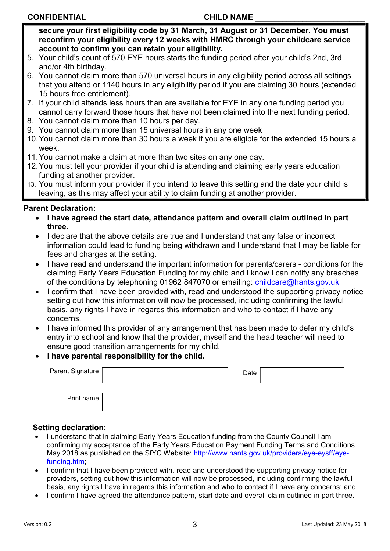### CONFIDENTIAL CONFIDENTIAL CHILD NAME

secure your first eligibility code by 31 March, 31 August or 31 December. You must reconfirm your eligibility every 12 weeks with HMRC through your childcare service account to confirm you can retain your eligibility.

- 5. Your child's count of 570 EYE hours starts the funding period after your child's 2nd, 3rd and/or 4th birthday.
- 6. You cannot claim more than 570 universal hours in any eligibility period across all settings that you attend or 1140 hours in any eligibility period if you are claiming 30 hours (extended 15 hours free entitlement).
- 7. If your child attends less hours than are available for EYE in any one funding period you cannot carry forward those hours that have not been claimed into the next funding period.
- 8. You cannot claim more than 10 hours per day.
- 9. You cannot claim more than 15 universal hours in any one week
- 10. You cannot claim more than 30 hours a week if you are eligible for the extended 15 hours a week.
- 11. You cannot make a claim at more than two sites on any one day.
- 12. You must tell your provider if your child is attending and claiming early years education funding at another provider.
- 13. You must inform your provider if you intend to leave this setting and the date your child is leaving, as this may affect your ability to claim funding at another provider.

# Parent Declaration:

- I have agreed the start date, attendance pattern and overall claim outlined in part three.
- I declare that the above details are true and I understand that any false or incorrect information could lead to funding being withdrawn and I understand that I may be liable for fees and charges at the setting.
- I have read and understand the important information for parents/carers conditions for the claiming Early Years Education Funding for my child and I know I can notify any breaches of the conditions by telephoning 01962 847070 or emailing: childcare@hants.gov.uk
- I confirm that I have been provided with, read and understood the supporting privacy notice setting out how this information will now be processed, including confirming the lawful basis, any rights I have in regards this information and who to contact if I have any concerns.
- I have informed this provider of any arrangement that has been made to defer my child's entry into school and know that the provider, myself and the head teacher will need to ensure good transition arrangements for my child.
- I have parental responsibility for the child.

| $\sf {Parent~Signature~}  $ | Date |  |
|-----------------------------|------|--|
| Print name                  |      |  |

# Setting declaration:

- I understand that in claiming Early Years Education funding from the County Council I am confirming my acceptance of the Early Years Education Payment Funding Terms and Conditions May 2018 as published on the SfYC Website: http://www.hants.gov.uk/providers/eye-eysff/eyefunding.htm;
- I confirm that I have been provided with, read and understood the supporting privacy notice for providers, setting out how this information will now be processed, including confirming the lawful basis, any rights I have in regards this information and who to contact if I have any concerns; and
- I confirm I have agreed the attendance pattern, start date and overall claim outlined in part three.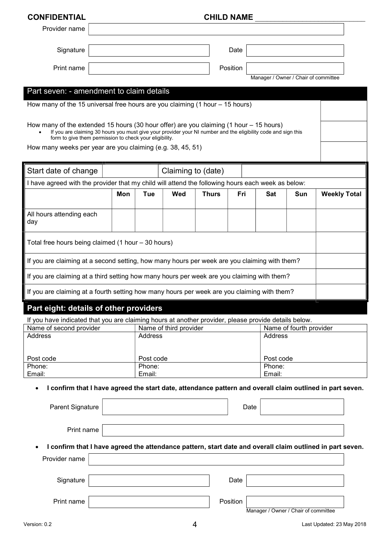# CONFIDENTIAL CONFIDENTIAL

| Provider name                                                                                                                                                                                                                                                         |     |                  |                        |              |          |                                      |                         |                     |  |
|-----------------------------------------------------------------------------------------------------------------------------------------------------------------------------------------------------------------------------------------------------------------------|-----|------------------|------------------------|--------------|----------|--------------------------------------|-------------------------|---------------------|--|
| Signature                                                                                                                                                                                                                                                             |     |                  |                        |              | Date     |                                      |                         |                     |  |
| Print name                                                                                                                                                                                                                                                            |     |                  |                        |              | Position |                                      |                         |                     |  |
|                                                                                                                                                                                                                                                                       |     |                  |                        |              |          | Manager / Owner / Chair of committee |                         |                     |  |
| Part seven: - amendment to claim details                                                                                                                                                                                                                              |     |                  |                        |              |          |                                      |                         |                     |  |
| How many of the 15 universal free hours are you claiming $(1 hour - 15 hours)$                                                                                                                                                                                        |     |                  |                        |              |          |                                      |                         |                     |  |
| How many of the extended 15 hours (30 hour offer) are you claiming (1 hour $-$ 15 hours)<br>If you are claiming 30 hours you must give your provider your NI number and the eligibility code and sign this<br>form to give them permission to check your eligibility. |     |                  |                        |              |          |                                      |                         |                     |  |
| How many weeks per year are you claiming (e.g. 38, 45, 51)                                                                                                                                                                                                            |     |                  |                        |              |          |                                      |                         |                     |  |
| Start date of change                                                                                                                                                                                                                                                  |     |                  | Claiming to (date)     |              |          |                                      |                         |                     |  |
| I have agreed with the provider that my child will attend the following hours each week as below:                                                                                                                                                                     |     |                  |                        |              |          |                                      |                         |                     |  |
|                                                                                                                                                                                                                                                                       | Mon | Tue              | Wed                    | <b>Thurs</b> | Fri      | Sat                                  | Sun                     | <b>Weekly Total</b> |  |
| All hours attending each<br>day                                                                                                                                                                                                                                       |     |                  |                        |              |          |                                      |                         |                     |  |
| Total free hours being claimed (1 hour - 30 hours)                                                                                                                                                                                                                    |     |                  |                        |              |          |                                      |                         |                     |  |
| If you are claiming at a second setting, how many hours per week are you claiming with them?                                                                                                                                                                          |     |                  |                        |              |          |                                      |                         |                     |  |
| If you are claiming at a third setting how many hours per week are you claiming with them?                                                                                                                                                                            |     |                  |                        |              |          |                                      |                         |                     |  |
| If you are claiming at a fourth setting how many hours per week are you claiming with them?                                                                                                                                                                           |     |                  |                        |              |          |                                      |                         |                     |  |
| Part eight: details of other providers                                                                                                                                                                                                                                |     |                  |                        |              |          |                                      |                         |                     |  |
| If you have indicated that you are claiming hours at another provider, please provide details below.                                                                                                                                                                  |     |                  |                        |              |          |                                      |                         |                     |  |
| Name of second provider<br>Address                                                                                                                                                                                                                                    |     | Address          | Name of third provider |              |          | Address                              | Name of fourth provider |                     |  |
|                                                                                                                                                                                                                                                                       |     |                  |                        |              |          |                                      |                         |                     |  |
| Post code                                                                                                                                                                                                                                                             |     | Post code        |                        |              |          | Post code                            |                         |                     |  |
| Phone:<br>Email:                                                                                                                                                                                                                                                      |     | Phone:<br>Email: |                        |              |          | Phone:<br>Email:                     |                         |                     |  |
| I confirm that I have agreed the start date, attendance pattern and overall claim outlined in part seven.<br>$\bullet$                                                                                                                                                |     |                  |                        |              |          |                                      |                         |                     |  |
| Parent Signature                                                                                                                                                                                                                                                      |     |                  |                        |              | Date     |                                      |                         |                     |  |
| Print name                                                                                                                                                                                                                                                            |     |                  |                        |              |          |                                      |                         |                     |  |
| I confirm that I have agreed the attendance pattern, start date and overall claim outlined in part seven.                                                                                                                                                             |     |                  |                        |              |          |                                      |                         |                     |  |
| Provider name                                                                                                                                                                                                                                                         |     |                  |                        |              |          |                                      |                         |                     |  |
|                                                                                                                                                                                                                                                                       |     |                  |                        |              |          |                                      |                         |                     |  |
| Signature                                                                                                                                                                                                                                                             |     |                  |                        |              | Date     |                                      |                         |                     |  |
| Print name                                                                                                                                                                                                                                                            |     |                  |                        |              | Position | Manager / Owner / Chair of committee |                         |                     |  |